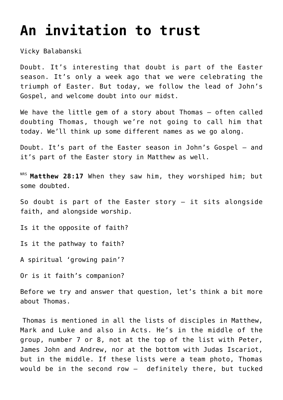## **[An invitation to trust](https://stjohnsadelaide.org.au/an-invitation-to-trust/)**

Vicky Balabanski

Doubt. It's interesting that doubt is part of the Easter season. It's only a week ago that we were celebrating the triumph of Easter. But today, we follow the lead of John's Gospel, and welcome doubt into our midst.

We have the little gem of a story about Thomas - often called doubting Thomas, though we're not going to call him that today. We'll think up some different names as we go along.

Doubt. It's part of the Easter season in John's Gospel – and it's part of the Easter story in Matthew as well.

NRS Matthew 28:17 When they saw him, they worshiped him; but some doubted.

So doubt is part of the Easter story – it sits alongside faith, and alongside worship.

Is it the opposite of faith?

Is it the pathway to faith?

A spiritual 'growing pain'?

Or is it faith's companion?

Before we try and answer that question, let's think a bit more about Thomas.

Thomas is mentioned in all the lists of disciples in Matthew, Mark and Luke and also in Acts. He's in the middle of the group, number 7 or 8, not at the top of the list with Peter, James John and Andrew, nor at the bottom with Judas Iscariot, but in the middle. If these lists were a team photo, Thomas would be in the second row — definitely there, but tucked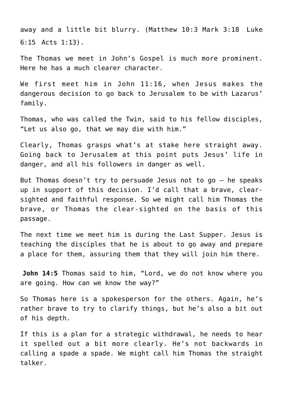away and a little bit blurry. (Matthew 10:3 Mark 3:18 Luke 6:15 Acts 1:13).

The Thomas we meet in John's Gospel is much more prominent. Here he has a much clearer character.

We first meet him in John 11:16, when Jesus makes the dangerous decision to go back to Jerusalem to be with Lazarus' family.

Thomas, who was called the Twin, said to his fellow disciples, "Let us also go, that we may die with him."

Clearly, Thomas grasps what's at stake here straight away. Going back to Jerusalem at this point puts Jesus' life in danger, and all his followers in danger as well.

But Thomas doesn't try to persuade Jesus not to go – he speaks up in support of this decision. I'd call that a brave, clearsighted and faithful response. So we might call him Thomas the brave, or Thomas the clear-sighted on the basis of this passage.

The next time we meet him is during the Last Supper. Jesus is teaching the disciples that he is about to go away and prepare a place for them, assuring them that they will join him there.

**John 14:5** Thomas said to him, "Lord, we do not know where you are going. How can we know the way?"

So Thomas here is a spokesperson for the others. Again, he's rather brave to try to clarify things, but he's also a bit out of his depth.

If this is a plan for a strategic withdrawal, he needs to hear it spelled out a bit more clearly. He's not backwards in calling a spade a spade. We might call him Thomas the straight talker.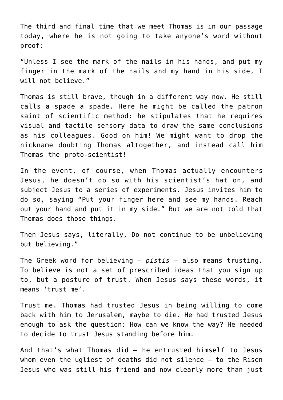The third and final time that we meet Thomas is in our passage today, where he is not going to take anyone's word without proof:

"Unless I see the mark of the nails in his hands, and put my finger in the mark of the nails and my hand in his side, I will not believe."

Thomas is still brave, though in a different way now. He still calls a spade a spade. Here he might be called the patron saint of scientific method: he stipulates that he requires visual and tactile sensory data to draw the same conclusions as his colleagues. Good on him! We might want to drop the nickname doubting Thomas altogether, and instead call him Thomas the proto-scientist!

In the event, of course, when Thomas actually encounters Jesus, he doesn't do so with his scientist's hat on, and subject Jesus to a series of experiments. Jesus invites him to do so, saying "Put your finger here and see my hands. Reach out your hand and put it in my side." But we are not told that Thomas does those things.

Then Jesus says, literally, Do not continue to be unbelieving but believing."

The Greek word for believing – *pistis* – also means trusting. To believe is not a set of prescribed ideas that you sign up to, but a posture of trust. When Jesus says these words, it means 'trust me'.

Trust me. Thomas had trusted Jesus in being willing to come back with him to Jerusalem, maybe to die. He had trusted Jesus enough to ask the question: How can we know the way? He needed to decide to trust Jesus standing before him.

And that's what Thomas did – he entrusted himself to Jesus whom even the ugliest of deaths did not silence – to the Risen Jesus who was still his friend and now clearly more than just